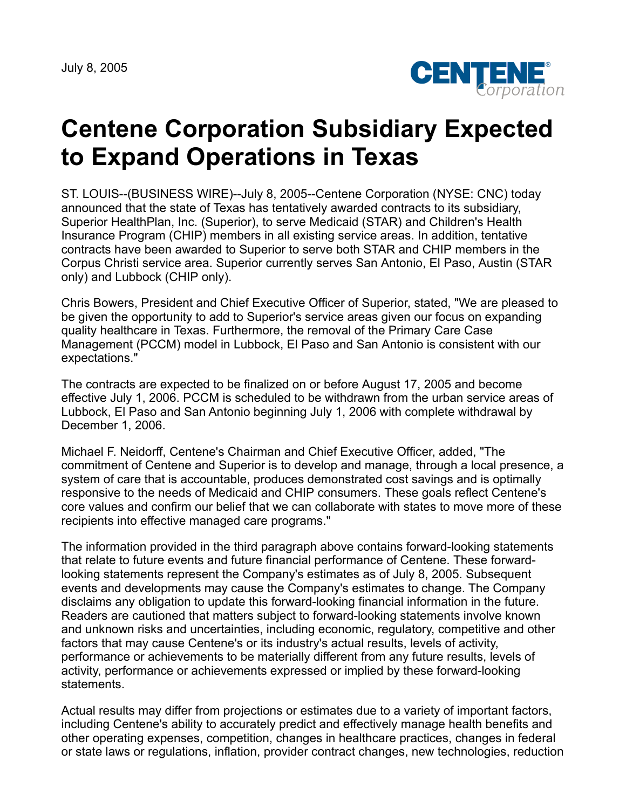July 8, 2005



## **Centene Corporation Subsidiary Expected to Expand Operations in Texas**

ST. LOUIS--(BUSINESS WIRE)--July 8, 2005--Centene Corporation (NYSE: CNC) today announced that the state of Texas has tentatively awarded contracts to its subsidiary, Superior HealthPlan, Inc. (Superior), to serve Medicaid (STAR) and Children's Health Insurance Program (CHIP) members in all existing service areas. In addition, tentative contracts have been awarded to Superior to serve both STAR and CHIP members in the Corpus Christi service area. Superior currently serves San Antonio, El Paso, Austin (STAR only) and Lubbock (CHIP only).

Chris Bowers, President and Chief Executive Officer of Superior, stated, "We are pleased to be given the opportunity to add to Superior's service areas given our focus on expanding quality healthcare in Texas. Furthermore, the removal of the Primary Care Case Management (PCCM) model in Lubbock, El Paso and San Antonio is consistent with our expectations."

The contracts are expected to be finalized on or before August 17, 2005 and become effective July 1, 2006. PCCM is scheduled to be withdrawn from the urban service areas of Lubbock, El Paso and San Antonio beginning July 1, 2006 with complete withdrawal by December 1, 2006.

Michael F. Neidorff, Centene's Chairman and Chief Executive Officer, added, "The commitment of Centene and Superior is to develop and manage, through a local presence, a system of care that is accountable, produces demonstrated cost savings and is optimally responsive to the needs of Medicaid and CHIP consumers. These goals reflect Centene's core values and confirm our belief that we can collaborate with states to move more of these recipients into effective managed care programs."

The information provided in the third paragraph above contains forward-looking statements that relate to future events and future financial performance of Centene. These forwardlooking statements represent the Company's estimates as of July 8, 2005. Subsequent events and developments may cause the Company's estimates to change. The Company disclaims any obligation to update this forward-looking financial information in the future. Readers are cautioned that matters subject to forward-looking statements involve known and unknown risks and uncertainties, including economic, regulatory, competitive and other factors that may cause Centene's or its industry's actual results, levels of activity, performance or achievements to be materially different from any future results, levels of activity, performance or achievements expressed or implied by these forward-looking statements.

Actual results may differ from projections or estimates due to a variety of important factors, including Centene's ability to accurately predict and effectively manage health benefits and other operating expenses, competition, changes in healthcare practices, changes in federal or state laws or regulations, inflation, provider contract changes, new technologies, reduction